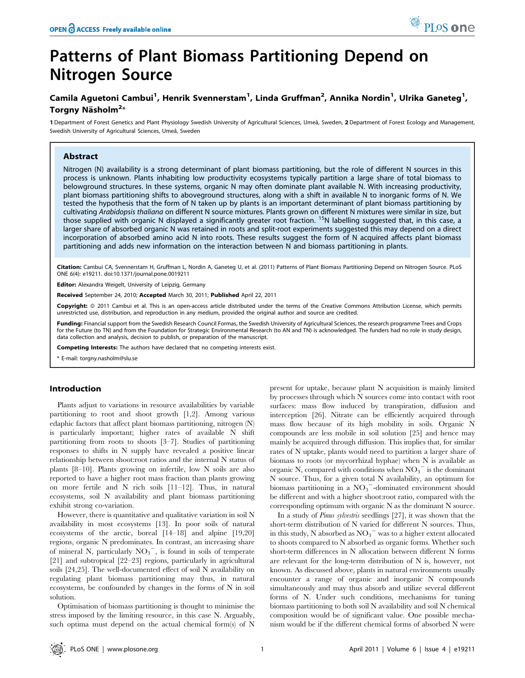# Patterns of Plant Biomass Partitioning Depend on Nitrogen Source

## Camila Aguetoni Cambui<sup>1</sup>, Henrik Svennerstam<sup>1</sup>, Linda Gruffman<sup>2</sup>, Annika Nordin<sup>1</sup>, Ulrika Ganeteg<sup>1</sup>, Torgny Näsholm<sup>2</sup>\*

1 Department of Forest Genetics and Plant Physiology Swedish University of Agricultural Sciences, Umeå, Sweden, 2 Department of Forest Ecology and Management, Swedish University of Agricultural Sciences, Umeå, Sweden

## Abstract

Nitrogen (N) availability is a strong determinant of plant biomass partitioning, but the role of different N sources in this process is unknown. Plants inhabiting low productivity ecosystems typically partition a large share of total biomass to belowground structures. In these systems, organic N may often dominate plant available N. With increasing productivity, plant biomass partitioning shifts to aboveground structures, along with a shift in available N to inorganic forms of N. We tested the hypothesis that the form of N taken up by plants is an important determinant of plant biomass partitioning by cultivating Arabidopsis thaliana on different N source mixtures. Plants grown on different N mixtures were similar in size, but those supplied with organic N displayed a significantly greater root fraction. 15N labelling suggested that, in this case, a larger share of absorbed organic N was retained in roots and split-root experiments suggested this may depend on a direct incorporation of absorbed amino acid N into roots. These results suggest the form of N acquired affects plant biomass partitioning and adds new information on the interaction between N and biomass partitioning in plants.

Citation: Cambui CA, Svennerstam H, Gruffman L, Nordin A, Ganeteg U, et al. (2011) Patterns of Plant Biomass Partitioning Depend on Nitrogen Source. PLoS ONE 6(4): e19211. doi:10.1371/journal.pone.0019211

ditor: Alexandra Weigelt, University of Leipzig, Germany

Received September 24, 2010; Accepted March 30, 2011; Published April 22, 2011

Copyright: © 2011 Cambui et al. This is an open-access article distributed under the terms of the Creative Commons Attribution License, which permits unrestricted use, distribution, and reproduction in any medium, provided the original author and source are credited.

Funding: Financial support from the Swedish Research Council Formas, the Swedish University of Agricultural Sciences, the research programme Trees and Crops for the Future (to TN) and from the Foundation for Strategic Environmental Research (to AN and TN) is acknowledged. The funders had no role in study design, data collection and analysis, decision to publish, or preparation of the manuscript.

Competing Interests: The authors have declared that no competing interests exist.

\* E-mail: torgny.nasholm@slu.se

#### Introduction

Plants adjust to variations in resource availabilities by variable partitioning to root and shoot growth [1,2]. Among various edaphic factors that affect plant biomass partitioning, nitrogen (N) is particularly important; higher rates of available N shift partitioning from roots to shoots [3–7]. Studies of partitioning responses to shifts in N supply have revealed a positive linear relationship between shoot:root ratios and the internal N status of plants [8–10]. Plants growing on infertile, low N soils are also reported to have a higher root mass fraction than plants growing on more fertile and N rich soils [11–12]. Thus, in natural ecosystems, soil N availability and plant biomass partitioning exhibit strong co-variation.

However, there is quantitative and qualitative variation in soil N availability in most ecosystems [13]. In poor soils of natural ecosystems of the arctic, boreal [14–18] and alpine [19,20] regions, organic N predominates. In contrast, an increasing share of mineral N, particularly  $NO_3^-$ , is found in soils of temperate [21] and subtropical [22–23] regions, particularly in agricultural soils [24,25]. The well-documented effect of soil N availability on regulating plant biomass partitioning may thus, in natural ecosystems, be confounded by changes in the forms of N in soil solution.

Optimisation of biomass partitioning is thought to minimise the stress imposed by the limiting resource, in this case N. Arguably, such optima must depend on the actual chemical form(s) of N

present for uptake, because plant N acquisition is mainly limited by processes through which N sources come into contact with root surfaces: mass flow induced by transpiration, diffusion and interception [26]. Nitrate can be efficiently acquired through mass flow because of its high mobility in soils. Organic N compounds are less mobile in soil solution [25] and hence may mainly be acquired through diffusion. This implies that, for similar rates of N uptake, plants would need to partition a larger share of biomass to roots (or mycorrhizal hyphae) when N is available as organic N, compared with conditions when  $NO_3$ <sup>-</sup> is the dominant N source. Thus, for a given total N availability, an optimum for biomass partitioning in a  $NO_3$ <sup>-</sup>-dominated environment should be different and with a higher shoot:root ratio, compared with the corresponding optimum with organic N as the dominant N source.

In a study of Pinus sylvestris seedlings [27], it was shown that the short-term distribution of N varied for different N sources. Thus, in this study, N absorbed as  $\mathrm{NO_3}^-$  was to a higher extent allocated to shoots compared to N absorbed as organic forms. Whether such short-term differences in N allocation between different N forms are relevant for the long-term distribution of N is, however, not known. As discussed above, plants in natural environments usually encounter a range of organic and inorganic N compounds simultaneously and may thus absorb and utilize several different forms of N. Under such conditions, mechanisms for tuning biomass partitioning to both soil N availability and soil N chemical composition would be of significant value. One possible mechanism would be if the different chemical forms of absorbed N were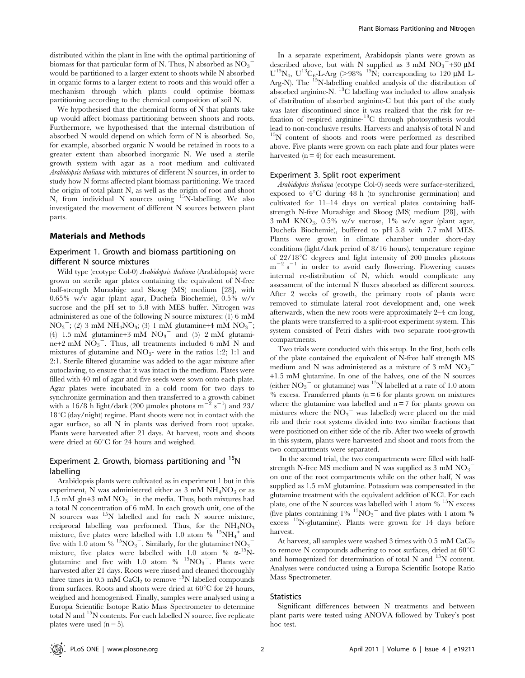distributed within the plant in line with the optimal partitioning of biomass for that particular form of N. Thus, N absorbed as  $\overline{{\rm NO}_3}^$ would be partitioned to a larger extent to shoots while N absorbed in organic forms to a larger extent to roots and this would offer a mechanism through which plants could optimise biomass partitioning according to the chemical composition of soil N.

We hypothesised that the chemical forms of N that plants take up would affect biomass partitioning between shoots and roots. Furthermore, we hypothesised that the internal distribution of absorbed N would depend on which form of N is absorbed. So, for example, absorbed organic N would be retained in roots to a greater extent than absorbed inorganic N. We used a sterile growth system with agar as a root medium and cultivated Arabidopsis thaliana with mixtures of different N sources, in order to study how N forms affected plant biomass partitioning. We traced the origin of total plant N, as well as the origin of root and shoot N, from individual N sources using 15N-labelling. We also investigated the movement of different N sources between plant parts.

## Materials and Methods

## Experiment 1. Growth and biomass partitioning on different N source mixtures

Wild type (ecotype Col-0) Arabidopsis thaliana (Arabidopsis) were grown on sterile agar plates containing the equivalent of N-free half-strength Murashige and Skoog (MS) medium [28], with 0.65% w/v agar (plant agar, Duchefa Biochemie), 0.5% w/v sucrose and the pH set to 5.8 with MES buffer. Nitrogen was administered as one of the following N source mixtures: (1) 6 mM  $NO_3$ ; (2) 3 mM NH<sub>4</sub>NO<sub>3</sub>; (3) 1 mM glutamine+4 mM NO<sub>3</sub><sup>-</sup>; (4)  $1.5 \text{ mM}$  glutamine+3 mM  $\text{NO}_3$ <sup>-</sup> and (5) 2 mM glutamine+2 mM  $\overline{NO_3}^-$ . Thus, all treatments included 6 mM N and mixtures of glutamine and  $NO_3$ - were in the ratios 1:2; 1:1 and 2:1. Sterile filtered glutamine was added to the agar mixture after autoclaving, to ensure that it was intact in the medium. Plates were filled with 40 ml of agar and five seeds were sown onto each plate. Agar plates were incubated in a cold room for two days to synchronize germination and then transferred to a growth cabinet with a 16/8 h light/dark (200 µmoles photons  $m^{-2}$  s<sup>-1</sup>) and 23/  $18^{\circ}$ C (day/night) regime. Plant shoots were not in contact with the agar surface, so all N in plants was derived from root uptake. Plants were harvested after 21 days. At harvest, roots and shoots were dried at  $60^{\circ}$ C for 24 hours and weighed.

## Experiment 2. Growth, biomass partitioning and  $15$ N labelling

Arabidopsis plants were cultivated as in experiment 1 but in this experiment, N was administered either as  $3 \text{ mM } NH_4NO_3$  or as  $1.5 \text{ mM g} \text{ln} + 3 \text{ mM NO}_3$ <sup>-</sup> in the media. Thus, both mixtures had a total N concentration of 6 mM. In each growth unit, one of the N sources was 15N labelled and for each N source mixture, reciprocal labelling was performed. Thus, for the  $NH<sub>4</sub>NO<sub>3</sub>$ mixture, five plates were labelled with 1.0 atom  $% ^{15}NH_4^+$  and five with 1.0 atom %  $^{15}$ NO<sub>3</sub><sup>-</sup>. Similarly, for the glutamine+NO<sub>3</sub><sup>-</sup> mixture, five plates were labelled with 1.0 atom  $% \alpha$ -<sup>15</sup>Nglutamine and five with 1.0 atom  $\%$   $^{15}NO_3$ . Plants were harvested after 21 days. Roots were rinsed and cleaned thoroughly three times in 0.5 mM  $CaCl<sub>2</sub>$  to remove <sup>15</sup>N labelled compounds from surfaces. Roots and shoots were dried at  $60^{\circ}$ C for 24 hours, weighed and homogenised. Finally, samples were analysed using a Europa Scientific Isotope Ratio Mass Spectrometer to determine total N and  $15N$  contents. For each labelled N source, five replicate plates were used  $(n = 5)$ .

In a separate experiment, Arabidopsis plants were grown as described above, but with N supplied as  $3 \text{ mM NO}_3$  +30  $\mu$ M  $U^{15}N_4$ ,  $U^{13}C_6$ -L-Arg (>98% <sup>15</sup>N; corresponding to 120 µM L-Arg-N). The <sup>15</sup>N-labelling enabled analysis of the distribution of absorbed arginine-N. 13C labelling was included to allow analysis of distribution of absorbed arginine-C but this part of the study was later discontinued since it was realized that the risk for refixation of respired arginine-13C through photosynthesis would lead to non-conclusive results. Harvests and analysis of total N and <sup>15</sup>N content of shoots and roots were performed as described above. Five plants were grown on each plate and four plates were harvested  $(n = 4)$  for each measurement.

#### Experiment 3. Split root experiment

Arabidopsis thaliana (ecotype Col-0) seeds were surface-sterilized, exposed to  $4^{\circ}$ C during 48 h (to synchronise germination) and cultivated for 11–14 days on vertical plates containing halfstrength N-free Murashige and Skoog (MS) medium [28], with  $3 \text{ mM KNO}_3$ ,  $0.5\%$  w/v sucrose,  $1\%$  w/v agar (plant agar, Duchefa Biochemie), buffered to pH 5.8 with 7.7 mM MES. Plants were grown in climate chamber under short-day conditions (light/dark period of 8/16 hours), temperature regime of  $22/18$ <sup>o</sup>C degrees and light intensity of 200 µmoles photons  $m^{-2}$  s<sup>-1</sup> in order to avoid early flowering. Flowering causes internal re-distribution of N, which would complicate any assessment of the internal N fluxes absorbed as different sources. After 2 weeks of growth, the primary roots of plants were removed to stimulate lateral root development and, one week afterwards, when the new roots were approximately 2–4 cm long, the plants were transferred to a split-root experiment system. This system consisted of Petri dishes with two separate root-growth compartments.

Two trials were conducted with this setup. In the first, both cells of the plate contained the equivalent of N-free half strength MS medium and N was administered as a mixture of 3 mM  $NO_3$ <sup>-</sup> +1.5 mM glutamine. In one of the halves, one of the N sources (either  $\overline{NO_3}^-$  or glutamine) was <sup>15</sup>N labelled at a rate of 1.0 atom  $%$  excess. Transferred plants ( $n = 6$  for plants grown on mixtures where the glutamine was labelled and  $n = 7$  for plants grown on mixtures where the  $NO_3$ <sup>-</sup> was labelled) were placed on the mid rib and their root systems divided into two similar fractions that were positioned on either side of the rib. After two weeks of growth in this system, plants were harvested and shoot and roots from the two compartments were separated.

In the second trial, the two compartments were filled with halfstrength N-free MS medium and N was supplied as 3 mM  $\mathrm{NO_3}^$ on one of the root compartments while on the other half, N was supplied as 1.5 mM glutamine. Potassium was compensated in the glutamine treatment with the equivalent addition of KCl. For each plate, one of the N sources was labelled with 1 atom  $\%$ <sup>15</sup>N excess (five plates containing  $1\%$   $15\text{NO}_3$ <sup>-</sup> and five plates with 1 atom  $\%$ excess 15N-glutamine). Plants were grown for 14 days before harvest.

At harvest, all samples were washed 3 times with 0.5 mM CaCl<sub>2</sub> to remove N compounds adhering to root surfaces, dried at  $60^{\circ}$ C and homogenized for determination of total N and  $^{15}N$  content. Analyses were conducted using a Europa Scientific Isotope Ratio Mass Spectrometer.

#### **Statistics**

Significant differences between N treatments and between plant parts were tested using ANOVA followed by Tukey's post hoc test.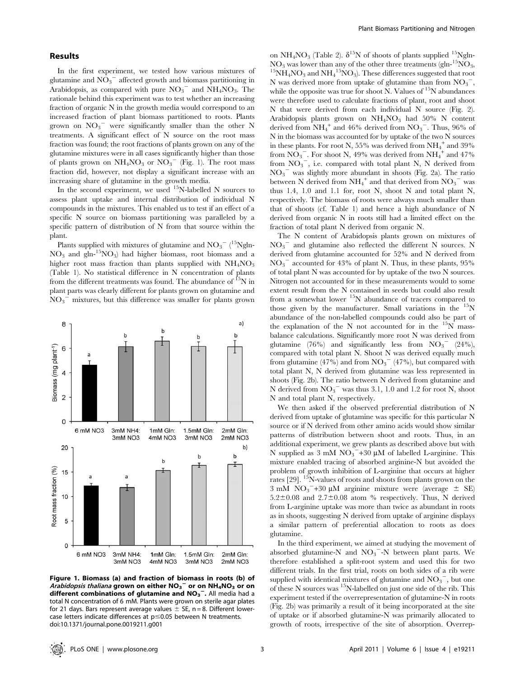## Results

In the first experiment, we tested how various mixtures of glutamine and  $\overline{{\rm NO}_3}^-$  affected growth and biomass partitioning in Arabidopsis, as compared with pure  $NO_3$ <sup>-</sup> and  $NH_4NO_3$ . The rationale behind this experiment was to test whether an increasing fraction of organic N in the growth media would correspond to an increased fraction of plant biomass partitioned to roots. Plants grown on  $NO_3$ <sup>-</sup> were significantly smaller than the other N treatments. A significant effect of N source on the root mass fraction was found; the root fractions of plants grown on any of the glutamine mixtures were in all cases significantly higher than those of plants grown on  $NH_4NO_3$  or  $NO_3^-$  (Fig. 1). The root mass fraction did, however, not display a significant increase with an increasing share of glutamine in the growth media.

In the second experiment, we used <sup>15</sup>N-labelled N sources to assess plant uptake and internal distribution of individual N compounds in the mixtures. This enabled us to test if an effect of a specific N source on biomass partitioning was paralleled by a specific pattern of distribution of N from that source within the plant.

Plants supplied with mixtures of glutamine and  $\text{NO}_3^{\text{--}}(^{15}\text{Ngln}$ - $NO<sub>3</sub>$  and gln-<sup>15</sup>NO<sub>3</sub>) had higher biomass, root biomass and a higher root mass fraction than plants supplied with  $NH<sub>4</sub>NO<sub>3</sub>$ (Table 1). No statistical difference in N concentration of plants from the different treatments was found. The abundance of  $^{15}N$  in plant parts was clearly different for plants grown on glutamine and  $\overline{NO_3}$ <sup>-</sup> mixtures, but this difference was smaller for plants grown



Figure 1. Biomass (a) and fraction of biomass in roots (b) of Arabidopsis thaliana grown on either  $\mathsf{NO_3}^-$  or on  $\mathsf{NH_4NO_3}$  or on different combinations of glutamine and  $NO_3^-$ . All media had a total N concentration of 6 mM. Plants were grown on sterile agar plates for 21 days. Bars represent average values  $\pm$  SE, n = 8. Different lowercase letters indicate differences at  $p \le 0.05$  between N treatments. doi:10.1371/journal.pone.0019211.g001

on NH<sub>4</sub>NO<sub>3</sub> (Table 2).  $\delta^{15}$ N of shoots of plants supplied <sup>15</sup>Ngln- $NO<sub>3</sub>$  was lower than any of the other three treatments (gln-<sup>15</sup>NO<sub>3</sub>,  $^{15}NH_4NO_3$  and  $NH_4^{15}NO_3$ ). These differences suggested that root N was derived more from uptake of glutamine than from  $NO_3$ , while the opposite was true for shoot N. Values of  $^{15}N$  abundances were therefore used to calculate fractions of plant, root and shoot N that were derived from each individual N source (Fig. 2). Arabidopsis plants grown on  $NH<sub>4</sub>NO<sub>3</sub>$  had 50% N content derived from  $NH_4^+$  and 46% derived from  $NO_3^-$ . Thus, 96% of N in the biomass was accounted for by uptake of the two N sources in these plants. For root N, 55% was derived from  $\mathrm{NH}_4^+$  and 39% from  $\overline{\text{NO}_3}^-$ . For shoot N, 49% was derived from  $\text{NH}_4^+$  and 47% from  $NO_3^-$ , i.e. compared with total plant N, N derived from NO3 <sup>2</sup> was slightly more abundant in shoots (Fig. 2a). The ratio between N derived from  $NH_4^+$  and that derived from  $NO_3^-$  was thus 1.4, 1.0 and 1.1 for, root N, shoot N and total plant N, respectively. The biomass of roots were always much smaller than that of shoots (cf. Table 1) and hence a high abundance of N derived from organic N in roots still had a limited effect on the fraction of total plant N derived from organic N.

The N content of Arabidopsis plants grown on mixtures of NO3 <sup>2</sup> and glutamine also reflected the different N sources. N derived from glutamine accounted for 52% and N derived from NO3 <sup>2</sup> accounted for 43% of plant N. Thus, in these plants, 95% of total plant N was accounted for by uptake of the two N sources. Nitrogen not accounted for in these measurements would to some extent result from the N contained in seeds but could also result from a somewhat lower <sup>15</sup>N abundance of tracers compared to those given by the manufacturer. Small variations in the  $15N$ abundance of the non-labelled compounds could also be part of the explanation of the N not accounted for in the  $15N$  massbalance calculations. Significantly more root N was derived from glutamine (76%) and significantly less from  $NO_3$ <sup>-</sup> (24%), compared with total plant N. Shoot N was derived equally much from glutamine  $(47%)$  and from  $\overline{NO_3}^ (47%)$ , but compared with total plant N, N derived from glutamine was less represented in shoots (Fig. 2b). The ratio between N derived from glutamine and N derived from  $NO_3$ <sup>-</sup> was thus 3.1, 1.0 and 1.2 for root N, shoot N and total plant N, respectively.

We then asked if the observed preferential distribution of N derived from uptake of glutamine was specific for this particular N source or if N derived from other amino acids would show similar patterns of distribution between shoot and roots. Thus, in an additional experiment, we grew plants as described above but with N supplied as  $3 \text{ mM } NO_3^- + 30 \text{ }\mu\text{M}$  of labelled L-arginine. This mixture enabled tracing of absorbed arginine-N but avoided the problem of growth inhibition of L-arginine that occurs at higher rates [29]. 15N-values of roots and shoots from plants grown on the 3 mM  $NO_3$ <sup>-+30</sup> µM arginine mixture were (average  $\pm$  SE)  $5.2\pm0.08$  and  $2.7\pm0.08$  atom % respectively. Thus, N derived from L-arginine uptake was more than twice as abundant in roots as in shoots, suggesting N derived from uptake of arginine displays a similar pattern of preferential allocation to roots as does glutamine.

In the third experiment, we aimed at studying the movement of absorbed glutamine-N and  $NO<sub>3</sub><sup>-</sup>-N$  between plant parts. We therefore established a split-root system and used this for two different trials. In the first trial, roots on both sides of a rib were supplied with identical mixtures of glutamine and  $\overline{{\rm NO}_3}^-$ , but one of these N sources was 15N-labelled on just one side of the rib. This experiment tested if the overrepresentation of glutamine-N in roots (Fig. 2b) was primarily a result of it being incorporated at the site of uptake or if absorbed glutamine-N was primarily allocated to growth of roots, irrespective of the site of absorption. Overrep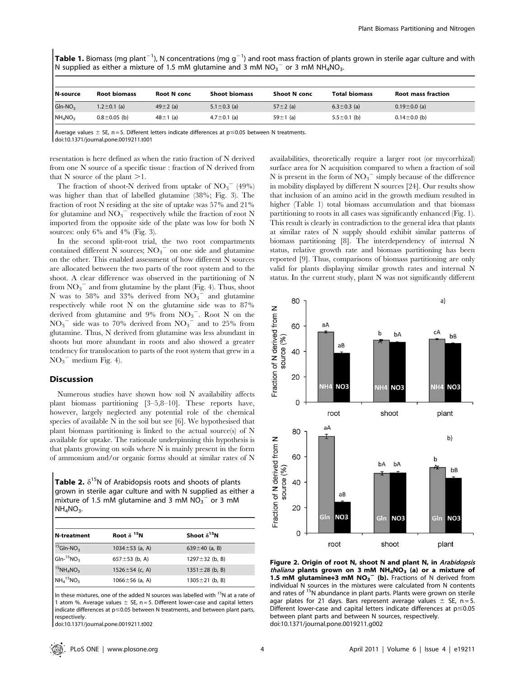**Table 1.** Biomass (mg plant<sup>-1</sup>), N concentrations (mg g<sup>-1</sup>) and root mass fraction of plants grown in sterile agar culture and with N supplied as either a mixture of 1.5 mM glutamine and 3 mM  $NO<sub>3</sub><sup>-</sup>$  or 3 mM NH<sub>4</sub>NO<sub>3</sub>.

| N-source   | <b>Root biomass</b> | <b>Root N</b> conc | <b>Shoot biomass</b> | <b>Shoot N</b> conc | <b>Total biomass</b> | <b>Root mass fraction</b> |
|------------|---------------------|--------------------|----------------------|---------------------|----------------------|---------------------------|
| $GIn-NO3$  | $1.2 \pm 0.1$ (a)   | 49 $\pm$ 2 (a)     | 5.1 $\pm$ 0.3 (a)    | 57 $\pm$ 2 (a)      | $6.3 \pm 0.3$ (a)    | $0.19 \pm 0.0$ (a)        |
| $NH_4NO_3$ | $0.8 \pm 0.05$ (b)  | $48 \pm 1$ (a)     | $4.7 \pm 0.1$ (a)    | 59 $\pm$ 1 (a)      | $5.5 \pm 0.1$ (b)    | $0.14 \pm 0.0$ (b)        |

Average values  $\pm$  SE, n = 5. Different letters indicate differences at p  $\leq$  0.05 between N treatments. doi:10.1371/journal.pone.0019211.t001

resentation is here defined as when the ratio fraction of N derived from one N source of a specific tissue : fraction of N derived from that N source of the plant  $>1$ .

The fraction of shoot-N derived from uptake of  $\mathrm{NO_3}^-$  (49%) was higher than that of labelled glutamine (38%; Fig. 3). The fraction of root N residing at the site of uptake was 57% and 21% for glutamine and  $NO_3$ <sup>-</sup> respectively while the fraction of root N imported from the opposite side of the plate was low for both N sources: only 6% and 4% (Fig. 3).

In the second split-root trial, the two root compartments contained different  $\overset{\textbf{.}}{\textbf{N}}$  sources;  $\overline{\text{NO}_3}^-$  on one side and glutamine on the other. This enabled assessment of how different N sources are allocated between the two parts of the root system and to the shoot. A clear difference was observed in the partitioning of N from  $NO_3$ <sup>-</sup> and from glutamine by the plant (Fig. 4). Thus, shoot N was to 58% and 33% derived from  $\overline{NO_3}^-$  and glutamine respectively while root N on the glutamine side was to 87% derived from glutamine and  $9\%$  from  $NO<sub>3</sub><sup>-</sup>$ . Root N on the  $NO_3$ <sup>-</sup> side was to 70% derived from  $NO_3$ <sup>-</sup> and to 25% from glutamine. Thus, N derived from glutamine was less abundant in shoots but more abundant in roots and also showed a greater tendency for translocation to parts of the root system that grew in a  $NO_3$ <sup>-</sup> medium Fig. 4).

## Discussion

Numerous studies have shown how soil N availability affects plant biomass partitioning [3–5,8–10]. These reports have, however, largely neglected any potential role of the chemical species of available N in the soil but see [6]. We hypothesised that plant biomass partitioning is linked to the actual source(s) of N available for uptake. The rationale underpinning this hypothesis is that plants growing on soils where N is mainly present in the form of ammonium and/or organic forms should at similar rates of N

**Table 2.**  $\delta^{15}N$  of Arabidopsis roots and shoots of plants grown in sterile agar culture and with N supplied as either a mixture of 1.5 mM glutamine and 3 mM  $NO_3^-$  or 3 mM  $NH<sub>4</sub>NO<sub>3</sub>$ .

| N-treatment                             | Root $\delta$ <sup>15</sup> N | Shoot $\delta^{15}N$ |
|-----------------------------------------|-------------------------------|----------------------|
| $15$ Gln-NO <sub>3</sub>                | 1034 $\pm$ 53 (a, A)          | 639 $\pm$ 40 (a, B)  |
| $GIn-$ <sup>15</sup> NO <sub>3</sub>    | 657 $\pm$ 53 (b, A)           | 1297 $\pm$ 32 (b, B) |
| $^{15}$ NH <sub>4</sub> NO <sub>3</sub> | 1526 $\pm$ 54 (c, A)          | $1351 \pm 28$ (b, B) |
| $NH415NO3$                              | 1066 $\pm$ 56 (a, A)          | $1305 \pm 21$ (b, B) |

In these mixtures, one of the added N sources was labelled with  $^{15}N$  at a rate of 1 atom %. Average values  $\pm$  SE, n = 5. Different lower-case and capital letters indicate differences at  $p \le 0.05$  between N treatments, and between plant parts, respectively.

doi:10.1371/journal.pone.0019211.t002

availabilities, theoretically require a larger root (or mycorrhizal) surface area for N acquisition compared to when a fraction of soil N is present in the form of  $NO_3$ <sup>-</sup> simply because of the difference in mobility displayed by different N sources [24]. Our results show that inclusion of an amino acid in the growth medium resulted in higher (Table 1) total biomass accumulation and that biomass partitioning to roots in all cases was significantly enhanced (Fig. 1). This result is clearly in contradiction to the general idea that plants at similar rates of N supply should exhibit similar patterns of biomass partitioning [8]. The interdependency of internal N status, relative growth rate and biomass partitioning has been reported [9]. Thus, comparisons of biomass partitioning are only valid for plants displaying similar growth rates and internal N status. In the current study, plant N was not significantly different



Figure 2. Origin of root N, shoot N and plant N, in Arabidopsis thaliana plants grown on 3 mM  $NH_4NO_3$  (a) or a mixture of 1.5 mM glutamine+3 mM  $NO<sub>3</sub><sup>-</sup>$  (b). Fractions of N derived from individual N sources in the mixtures were calculated from N contents and rates of <sup>15</sup>N abundance in plant parts. Plants were grown on sterile agar plates for 21 days. Bars represent average values  $\pm$  SE, n = 5. Different lower-case and capital letters indicate differences at  $p \le 0.05$ between plant parts and between N sources, respectively. doi:10.1371/journal.pone.0019211.g002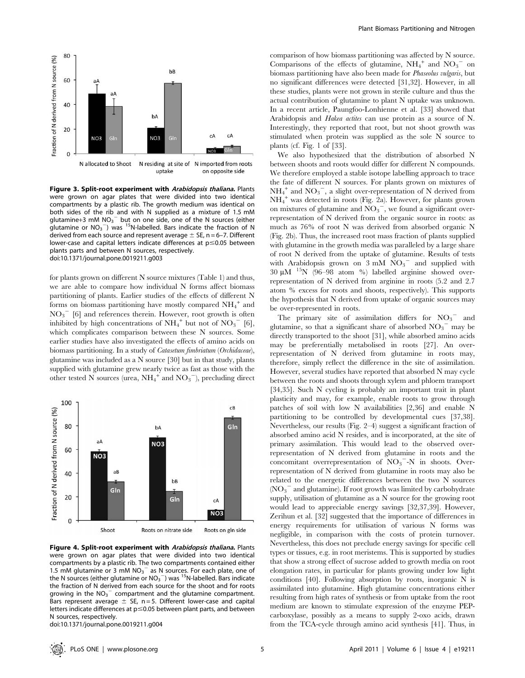

Figure 3. Split-root experiment with Arabidopsis thaliana. Plants were grown on agar plates that were divided into two identical compartments by a plastic rib. The growth medium was identical on both sides of the rib and with N supplied as a mixture of 1.5 mM glutamine+3 mM  $NO<sub>3</sub><sup>-</sup>$  but on one side, one of the N sources (either glutamine or  $NO<sub>3</sub><sup>-</sup>$ ) was <sup>15</sup>N-labelled. Bars indicate the fraction of N derived from each source and represent average  $\pm$  SE, n = 6–7. Different lower-case and capital letters indicate differences at  $p \le 0.05$  between plants parts and between N sources, respectively. doi:10.1371/journal.pone.0019211.g003

for plants grown on different N source mixtures (Table 1) and thus, we are able to compare how individual N forms affect biomass partitioning of plants. Earlier studies of the effects of different N forms on biomass partitioning have mostly compared  $NH_4^+$  and NO3 <sup>2</sup> [6] and references therein. However, root growth is often inhibited by high concentrations of  $NH_4^+$  but not of  $NO_3^-$  [6], which complicates comparison between these N sources. Some earlier studies have also investigated the effects of amino acids on biomass partitioning. In a study of Catasetum fimbriatum (Orchidaceae), glutamine was included as a N source [30] but in that study, plants supplied with glutamine grew nearly twice as fast as those with the other tested N sources (urea,  $NH_4^+$  and  $NO_3^-$ ), precluding direct



Figure 4. Split-root experiment with Arabidopsis thaliana. Plants were grown on agar plates that were divided into two identical compartments by a plastic rib. The two compartments contained either 1.5 mM glutamine or 3 mM  $NO<sub>3</sub><sup>-</sup>$  as N sources. For each plate, one of the N sources (either glutamine or  $NO_3$ <sup>--</sup>) was <sup>15</sup>N-labelled. Bars indicate the fraction of N derived from each source for the shoot and for roots growing in the  $N O_3$  compartment and the glutamine compartment. Bars represent average  $\pm$  SE, n = 5. Different lower-case and capital letters indicate differences at  $p \le 0.05$  between plant parts, and between N sources, respectively.

doi:10.1371/journal.pone.0019211.g004

comparison of how biomass partitioning was affected by N source. Comparisons of the effects of glutamine,  $NH_4^+$  and  $NO_3^-$  on biomass partitioning have also been made for Phaseolus vulgaris, but no significant differences were detected [31,32]. However, in all these studies, plants were not grown in sterile culture and thus the actual contribution of glutamine to plant N uptake was unknown. In a recent article, Paungfoo-Lonhienne et al. [33] showed that Arabidopsis and *Hakea actites* can use protein as a source of N. Interestingly, they reported that root, but not shoot growth was stimulated when protein was supplied as the sole N source to plants (cf. Fig. 1 of [33].

We also hypothesized that the distribution of absorbed N between shoots and roots would differ for different N compounds. We therefore employed a stable isotope labelling approach to trace the fate of different N sources. For plants grown on mixtures of  $NH_4^+$  and  $NO_3^-$ , a slight over-representation of N derived from NH4 <sup>+</sup> was detected in roots (Fig. 2a). However, for plants grown on mixtures of glutamine and  $\overline{NO_3}^-$ , we found a significant overrepresentation of N derived from the organic source in roots: as much as 76% of root N was derived from absorbed organic N (Fig. 2b). Thus, the increased root mass fraction of plants supplied with glutamine in the growth media was paralleled by a large share of root N derived from the uptake of glutamine. Results of tests with Arabidopsis grown on  $3 \text{ mM } NO_3^-$  and supplied with  $30~\rm \upmu M^{-15}N$  (96–98 atom %) labelled arginine showed overrepresentation of N derived from arginine in roots (5.2 and 2.7 atom % excess for roots and shoots, respectively). This supports the hypothesis that N derived from uptake of organic sources may be over-represented in roots.

The primary site of assimilation differs for  $NO_3$ <sup>-</sup> and glutamine, so that a significant share of absorbed  $NO_3$ <sup>-</sup> may be directly transported to the shoot [31], while absorbed amino acids may be preferentially metabolised in roots [27]. An overrepresentation of N derived from glutamine in roots may, therefore, simply reflect the difference in the site of assimilation. However, several studies have reported that absorbed N may cycle between the roots and shoots through xylem and phloem transport [34,35]. Such N cycling is probably an important trait in plant plasticity and may, for example, enable roots to grow through patches of soil with low N availabilities [2,36] and enable N partitioning to be controlled by developmental cues [37,38]. Nevertheless, our results (Fig. 2–4) suggest a significant fraction of absorbed amino acid N resides, and is incorporated, at the site of primary assimilation. This would lead to the observed overrepresentation of N derived from glutamine in roots and the concomitant overrepresentation of  $NO_3$ <sup>-</sup>-N in shoots. Overrepresentation of N derived from glutamine in roots may also be related to the energetic differences between the two N sources (NO<sub>3</sub><sup>-</sup> and glutamine). If root growth was limited by carbohydrate supply, utilisation of glutamine as a N source for the growing root would lead to appreciable energy savings [32,37,39]. However, Zerihun et al. [32] suggested that the importance of differences in energy requirements for utilisation of various N forms was negligible, in comparison with the costs of protein turnover. Nevertheless, this does not preclude energy savings for specific cell types or tissues, e.g. in root meristems. This is supported by studies that show a strong effect of sucrose added to growth media on root elongation rates, in particular for plants growing under low light conditions [40]. Following absorption by roots, inorganic N is assimilated into glutamine. High glutamine concentrations either resulting from high rates of synthesis or from uptake from the root medium are known to stimulate expression of the enzyme PEPcarboxylase, possibly as a means to supply 2-oxo acids, drawn from the TCA-cycle through amino acid synthesis [41]. Thus, in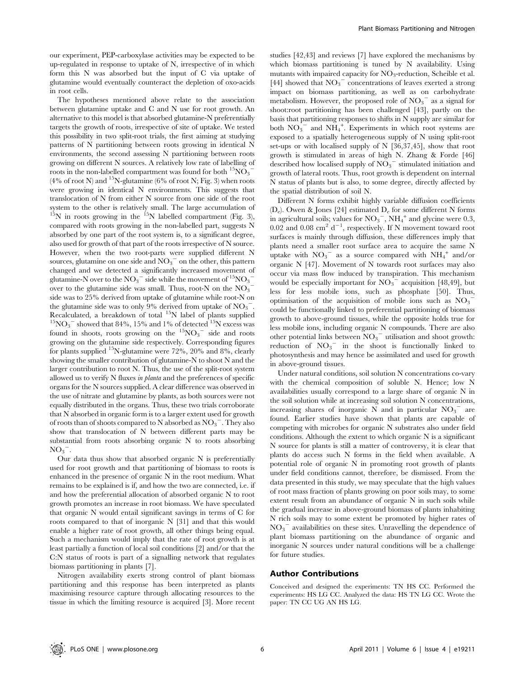our experiment, PEP-carboxylase activities may be expected to be up-regulated in response to uptake of N, irrespective of in which form this N was absorbed but the input of C via uptake of glutamine would eventually counteract the depletion of oxo-acids in root cells.

The hypotheses mentioned above relate to the association between glutamine uptake and C and N use for root growth. An alternative to this model is that absorbed glutamine-N preferentially targets the growth of roots, irrespective of site of uptake. We tested this possibility in two split-root trials, the first aiming at studying patterns of N partitioning between roots growing in identical N environments, the second assessing N partitioning between roots growing on different N sources. A relatively low rate of labelling of roots in the non-labelled compartment was found for both  $^{15}\mathrm{NO_3}^ (4\% \text{ of root N})$  and  $^{15}N$ -glutamine (6% of root N; Fig. 3) when roots were growing in identical N environments. This suggests that translocation of N from either N source from one side of the root system to the other is relatively small. The large accumulation of  $15N$  in roots growing in the  $15N$  labelled compartment (Fig. 3), compared with roots growing in the non-labelled part, suggests N absorbed by one part of the root system is, to a significant degree, also used for growth of that part of the roots irrespective of N source. However, when the two root-parts were supplied different N sources, glutamine on one side and  $NO_3$ <sup>-</sup> on the other, this pattern changed and we detected a significantly increased movement of glutamine-N over to the  $\mathrm{NO_3}^-$  side while the movement of  $^{15}\mathrm{NO_3}^$ over to the glutamine side was small. Thus, root-N on the  $NO_3^{\sim}$ side was to 25% derived from uptake of glutamine while root-N on the glutamine side was to only 9% derived from uptake of  $NO_3$ . Recalculated, a breakdown of total <sup>15</sup>N label of plants supplied <sup>15</sup>NO<sub>3</sub><sup>-</sup> showed that 84%, 15% and 1% of detected <sup>15</sup>N excess was found in shoots, roots growing on the  ${}^{15}NO_3$ <sup>-</sup> side and roots growing on the glutamine side respectively. Corresponding figures for plants supplied  $^{15}$ N-glutamine were 72%, 20% and 8%, clearly showing the smaller contribution of glutamine-N to shoot N and the larger contribution to root N. Thus, the use of the split-root system allowed us to verify N fluxes in planta and the preferences of specific organs for the N sources supplied. A clear difference was observed in the use of nitrate and glutamine by plants, as both sources were not equally distributed in the organs. Thus, these two trials corroborate that N absorbed in organic form is to a larger extent used for growth of roots than of shoots compared to N absorbed as  $\mathrm{NO_3}^-$ . They also show that translocation of N between different parts may be substantial from roots absorbing organic N to roots absorbing  $NO_3$ <sup>-</sup>.

Our data thus show that absorbed organic N is preferentially used for root growth and that partitioning of biomass to roots is enhanced in the presence of organic N in the root medium. What remains to be explained is if, and how the two are connected, i.e. if and how the preferential allocation of absorbed organic N to root growth promotes an increase in root biomass. We have speculated that organic N would entail significant savings in terms of C for roots compared to that of inorganic N [31] and that this would enable a higher rate of root growth, all other things being equal. Such a mechanism would imply that the rate of root growth is at least partially a function of local soil conditions [2] and/or that the C:N status of roots is part of a signalling network that regulates biomass partitioning in plants [7].

Nitrogen availability exerts strong control of plant biomass partitioning and this response has been interpreted as plants maximising resource capture through allocating resources to the tissue in which the limiting resource is acquired [3]. More recent

studies [42,43] and reviews [7] have explored the mechanisms by which biomass partitioning is tuned by N availability. Using mutants with impaired capacity for  $NO_3$ -reduction, Scheible et al. [44] showed that  $\overline{\mathrm{NO_3}^-}$  concentrations of leaves exerted a strong impact on biomass partitioning, as well as on carbohydrate metabolism. However, the proposed role of  $NO_3$ <sup>-</sup> as a signal for shoot:root partitioning has been challenged [43], partly on the basis that partitioning responses to shifts in N supply are similar for both  $\overline{NO_3}^-$  and  $\overline{NH_4}^+$ . Experiments in which root systems are exposed to a spatially heterogeneous supply of N using split-root set-ups or with localised supply of N [36,37,45], show that root growth is stimulated in areas of high N. Zhang & Forde [46] described how localised supply of  $\overline{NO_3}^-$  stimulated initiation and growth of lateral roots. Thus, root growth is dependent on internal N status of plants but is also, to some degree, directly affected by the spatial distribution of soil N.

Different N forms exhibit highly variable diffusion coefficients  $(D_e)$ . Owen & Jones [24] estimated  $D_e$  for some different N forms in agricultural soils; values for  $\mathrm{NO_3}^-$ ,  $\mathrm{NH_4}^+$  and glycine were 0.3,  $0.02$  and  $0.08$  cm<sup>2</sup> d<sup>-1</sup>, respectively. If N movement toward root surfaces is mainly through diffusion, these differences imply that plants need a smaller root surface area to acquire the same N uptake with  $NO_3$ <sup>-</sup> as a source compared with  $NH_4$ <sup>+</sup> and/or organic N [47]. Movement of N towards root surfaces may also occur via mass flow induced by transpiration. This mechanism would be especially important for  $NO<sub>3</sub><sup>-</sup>$  acquisition [48,49], but less for less mobile ions, such as phosphate [50]. Thus, optimisation of the acquisition of mobile ions such as  $NO_3$ <sup>-</sup> could be functionally linked to preferential partitioning of biomass growth to above-ground tissues, while the opposite holds true for less mobile ions, including organic N compounds. There are also other potential links between  $\text{NO}_3$ <sup>-</sup> utilisation and shoot growth: reduction of  $NO_3$ <sup>-</sup> in the shoot is functionally linked to photosynthesis and may hence be assimilated and used for growth in above-ground tissues.

Under natural conditions, soil solution N concentrations co-vary with the chemical composition of soluble N. Hence; low N availabilities usually correspond to a large share of organic N in the soil solution while at increasing soil solution N concentrations, increasing shares of inorganic N and in particular  $NO_3$ <sup>-</sup> are found. Earlier studies have shown that plants are capable of competing with microbes for organic N substrates also under field conditions. Although the extent to which organic N is a significant N source for plants is still a matter of controversy, it is clear that plants do access such N forms in the field when available. A potential role of organic N in promoting root growth of plants under field conditions cannot, therefore, be dismissed. From the data presented in this study, we may speculate that the high values of root mass fraction of plants growing on poor soils may, to some extent result from an abundance of organic N in such soils while the gradual increase in above-ground biomass of plants inhabiting N rich soils may to some extent be promoted by higher rates of NO3 <sup>2</sup> availabilities on these sites. Unravelling the dependence of plant biomass partitioning on the abundance of organic and inorganic N sources under natural conditions will be a challenge for future studies.

## Author Contributions

Conceived and designed the experiments: TN HS CC. Performed the experiments: HS LG CC. Analyzed the data: HS TN LG CC. Wrote the paper: TN CC UG AN HS LG.